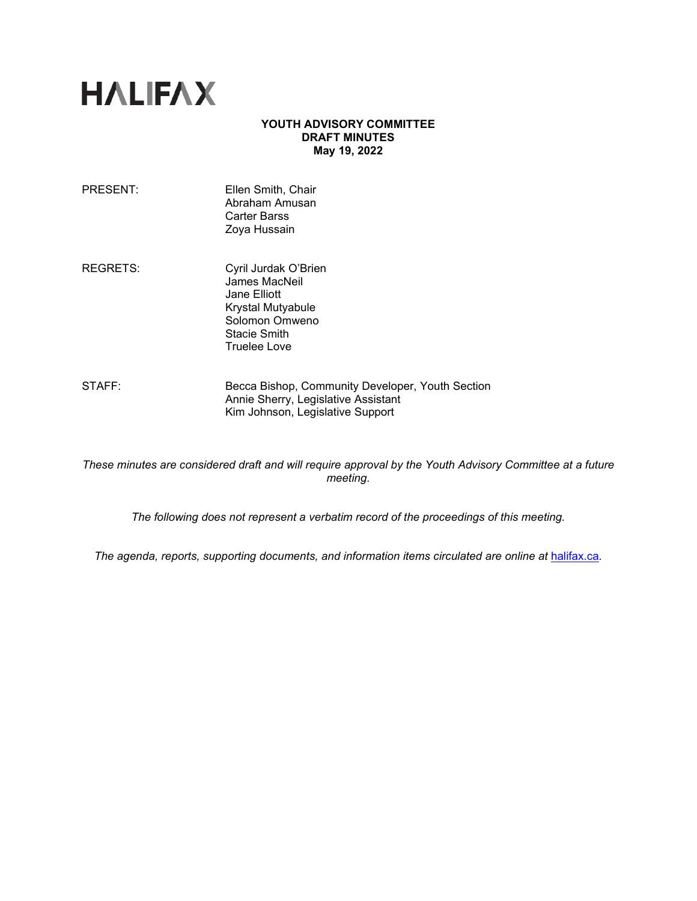# **HALIFAX**

# **YOUTH ADVISORY COMMITTEE DRAFT MINUTES May 19, 2022**

- REGRETS: Cyril Jurdak O'Brien James MacNeil Jane Elliott Krystal Mutyabule Solomon Omweno Stacie Smith Truelee Love
- STAFF: Becca Bishop, Community Developer, Youth Section Annie Sherry, Legislative Assistant Kim Johnson, Legislative Support

*These minutes are considered draft and will require approval by the Youth Advisory Committee at a future meeting.* 

*The following does not represent a verbatim record of the proceedings of this meeting.*

The agenda, reports, supporting documents, and information items circulated are online at **[halifax.ca](http://www.halifax.ca/).**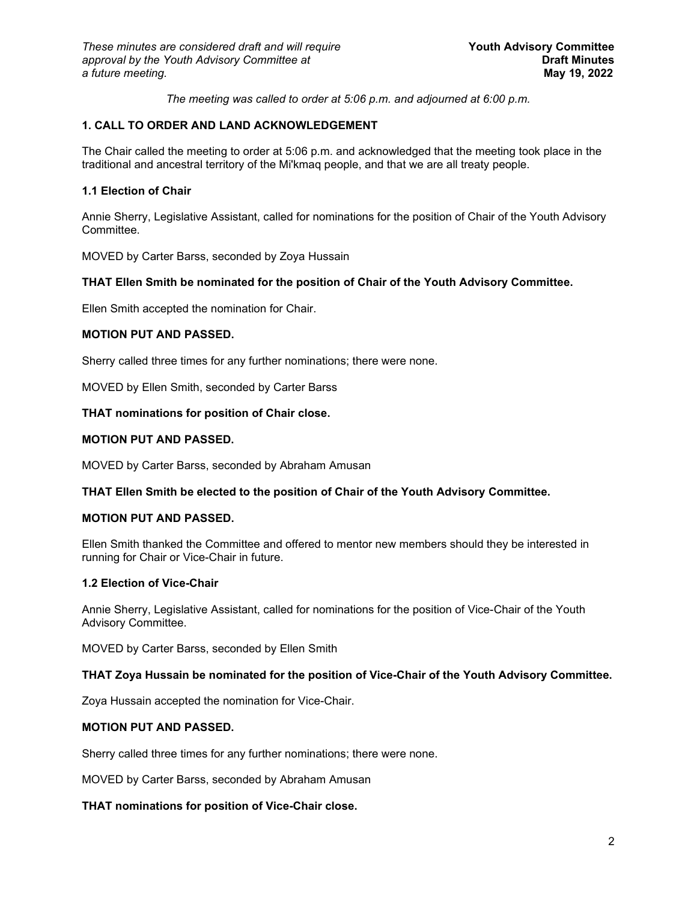*The meeting was called to order at 5:06 p.m. and adjourned at 6:00 p.m.*

# **1. CALL TO ORDER AND LAND ACKNOWLEDGEMENT**

The Chair called the meeting to order at 5:06 p.m. and acknowledged that the meeting took place in the traditional and ancestral territory of the Mi'kmaq people, and that we are all treaty people.

# **1.1 Election of Chair**

Annie Sherry, Legislative Assistant, called for nominations for the position of Chair of the Youth Advisory Committee.

MOVED by Carter Barss, seconded by Zoya Hussain

# **THAT Ellen Smith be nominated for the position of Chair of the Youth Advisory Committee.**

Ellen Smith accepted the nomination for Chair.

# **MOTION PUT AND PASSED.**

Sherry called three times for any further nominations; there were none.

MOVED by Ellen Smith, seconded by Carter Barss

# **THAT nominations for position of Chair close.**

# **MOTION PUT AND PASSED.**

MOVED by Carter Barss, seconded by Abraham Amusan

# **THAT Ellen Smith be elected to the position of Chair of the Youth Advisory Committee.**

# **MOTION PUT AND PASSED.**

Ellen Smith thanked the Committee and offered to mentor new members should they be interested in running for Chair or Vice-Chair in future.

# **1.2 Election of Vice-Chair**

Annie Sherry, Legislative Assistant, called for nominations for the position of Vice-Chair of the Youth Advisory Committee.

MOVED by Carter Barss, seconded by Ellen Smith

# **THAT Zoya Hussain be nominated for the position of Vice-Chair of the Youth Advisory Committee.**

Zoya Hussain accepted the nomination for Vice-Chair.

# **MOTION PUT AND PASSED.**

Sherry called three times for any further nominations; there were none.

MOVED by Carter Barss, seconded by Abraham Amusan

# **THAT nominations for position of Vice-Chair close.**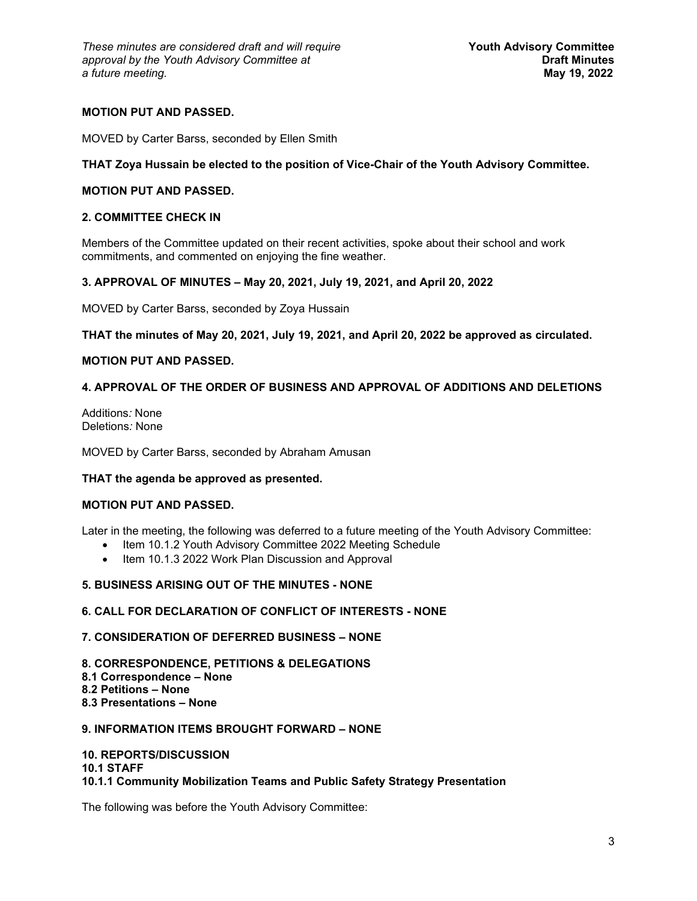# **MOTION PUT AND PASSED.**

MOVED by Carter Barss, seconded by Ellen Smith

### **THAT Zoya Hussain be elected to the position of Vice-Chair of the Youth Advisory Committee.**

# **MOTION PUT AND PASSED.**

### **2. COMMITTEE CHECK IN**

Members of the Committee updated on their recent activities, spoke about their school and work commitments, and commented on enjoying the fine weather.

#### **3. APPROVAL OF MINUTES – May 20, 2021, July 19, 2021, and April 20, 2022**

MOVED by Carter Barss, seconded by Zoya Hussain

**THAT the minutes of May 20, 2021, July 19, 2021, and April 20, 2022 be approved as circulated.**

#### **MOTION PUT AND PASSED.**

# **4. APPROVAL OF THE ORDER OF BUSINESS AND APPROVAL OF ADDITIONS AND DELETIONS**

Additions*:* None Deletions*:* None

MOVED by Carter Barss, seconded by Abraham Amusan

# **THAT the agenda be approved as presented.**

# **MOTION PUT AND PASSED.**

Later in the meeting, the following was deferred to a future meeting of the Youth Advisory Committee:

- Item 10.1.2 Youth Advisory Committee 2022 Meeting Schedule
- Item 10.1.3 2022 Work Plan Discussion and Approval

# **5. BUSINESS ARISING OUT OF THE MINUTES - NONE**

# **6. CALL FOR DECLARATION OF CONFLICT OF INTERESTS - NONE**

# **7. CONSIDERATION OF DEFERRED BUSINESS – NONE**

**8. CORRESPONDENCE, PETITIONS & DELEGATIONS 8.1 Correspondence – None 8.2 Petitions – None 8.3 Presentations – None**

# **9. INFORMATION ITEMS BROUGHT FORWARD – NONE**

# **10. REPORTS/DISCUSSION**

**10.1 STAFF**

**10.1.1 Community Mobilization Teams and Public Safety Strategy Presentation**

The following was before the Youth Advisory Committee: